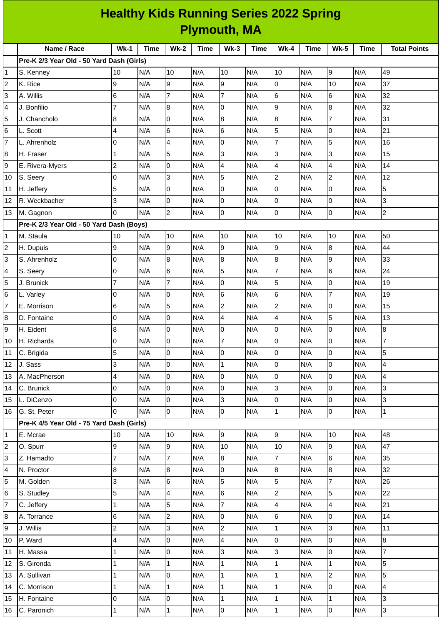|                | <b>Healthy Kids Running Series 2022 Spring</b> |                     |             |                                             |             |                  |             |                     |             |                     |             |                          |
|----------------|------------------------------------------------|---------------------|-------------|---------------------------------------------|-------------|------------------|-------------|---------------------|-------------|---------------------|-------------|--------------------------|
|                | <b>Plymouth, MA</b>                            |                     |             |                                             |             |                  |             |                     |             |                     |             |                          |
|                | Name / Race                                    | $Wk-1$              | <b>Time</b> | <b>Wk-2</b>                                 | <b>Time</b> | $Wk-3$           | <b>Time</b> | $Wk-4$              | <b>Time</b> | <b>Wk-5</b>         | <b>Time</b> | <b>Total Points</b>      |
|                | Pre-K 2/3 Year Old - 50 Yard Dash (Girls)      |                     |             |                                             |             |                  |             |                     |             |                     |             |                          |
| 1              | S. Kenney                                      | 10                  | N/A         | 10                                          | N/A         | 10               | N/A         | 10                  | N/A         | 9                   | N/A         | 49                       |
| $\overline{c}$ | K. Rice                                        | 9                   | N/A         | 9                                           | N/A         | 9                | N/A         | 0                   | N/A         | 10                  | N/A         | 37                       |
| 3              | A. Willis                                      | 6                   | N/A         | $\overline{7}$                              | N/A         | $\overline{7}$   | N/A         | 6                   | N/A         | 6                   | N/A         | 32                       |
| 4              | J. Bonfilio                                    | $\overline{7}$      | N/A         | $\overline{8}$                              | N/A         | $\mathbf 0$      | N/A         | 9                   | N/A         | 8                   | N/A         | 32                       |
| 5              | J. Chancholo                                   | $\bf{8}$            | N/A         | 0                                           | N/A         | 8                | N/A         | $\bf{8}$            | N/A         | $\overline{7}$      | N/A         | 31                       |
| 6              | L. Scott                                       | $\overline{4}$      | N/A         | $6\overline{6}$                             | N/A         | 6                | N/A         | 5                   | N/A         | 0                   | N/A         | 21                       |
| 7              | L. Ahrenholz                                   | 0                   | N/A         | $\overline{4}$                              | N/A         | $\mathbf 0$      | N/A         | $\overline{7}$      | N/A         | 5                   | N/A         | 16                       |
| 8              | H. Fraser                                      | 1                   | N/A         | 5                                           | N/A         | 3                | N/A         | 3                   | N/A         | 3                   | N/A         | 15                       |
| 9              | E. Rivera-Myers                                | $\overline{c}$      | N/A         | O                                           | N/A         | 4                | N/A         | 4                   | N/A         | 4                   | N/A         | 14                       |
| 10             | S. Seery                                       | 0                   | N/A         | 3                                           | N/A         | 5                | N/A         | $\overline{c}$      | N/A         | $\overline{c}$      | N/A         | 12                       |
| 11             | H. Jeffery                                     | 5                   | N/A         | $\overline{0}$                              | N/A         | 0                | N/A         | 0                   | N/A         | 0                   | N/A         | 5                        |
| 12             | R. Weckbacher                                  | 3                   | N/A         | O                                           | N/A         | $\mathbf 0$      | N/A         | 0                   | N/A         | 0                   | N/A         | 3                        |
| 13             | M. Gagnon                                      | <sup>o</sup>        | N/A         | $\overline{c}$                              | N/A         | 0                | N/A         | O                   | N/A         | $\mathsf 0$         | N/A         | $\overline{c}$           |
|                | Pre-K 2/3 Year Old - 50 Yard Dash (Boys)       |                     |             |                                             |             |                  |             |                     |             |                     |             |                          |
| 1              | M. Staula                                      | 10                  | N/A         | 10                                          | N/A         | 10               | N/A         | 10                  | N/A         | 10                  | N/A         | 50                       |
| $\overline{c}$ | H. Dupuis                                      | 9                   | N/A         | 9                                           | N/A         | 9                | N/A         | 9                   | N/A         | 8                   | N/A         | 44                       |
| 3              | S. Ahrenholz                                   | $\mathsf 0$         | N/A         | 8                                           | N/A         | 8                | N/A         | $\bf{8}$            | N/A         | 9                   | N/A         | 33                       |
| 4              | S. Seery                                       | 0                   | N/A         | 6                                           | N/A         | 5                | N/A         | $\overline{7}$      | N/A         | 6                   | N/A         | 24                       |
| 5              | J. Brunick                                     | $\overline{7}$      | N/A         | $\overline{7}$                              | N/A         | 0                | N/A         | 5                   | N/A         | 0                   | N/A         | 19                       |
| 6              | L. Varley                                      | 0                   | N/A         | O                                           | N/A         | $6\phantom{.}6$  | N/A         | 6                   | N/A         | $\overline{7}$      | N/A         | 19                       |
| 7              | E. Morrison                                    | 6                   | N/A         | 5                                           | N/A         | $\boldsymbol{2}$ | N/A         | $\overline{c}$      | N/A         | 0                   | N/A         | 15                       |
| 8              | D. Fontaine                                    | O                   | N/A         | $\overline{0}$                              | N/A         | $\overline{4}$   | N/A         | 4                   | N/A         | 5                   | N/A         | 13                       |
| 9              | H. Eident                                      | 8                   | N/A         | O                                           | N/A         | 0                | N/A         | 0                   | N/A         | 0                   | N/A         | 8                        |
| 10             | H. Richards                                    | 0                   | N/A         | O                                           | N/A         | $\overline{7}$   | N/A         | 0                   | N/A         | 0                   | N/A         | $\overline{\mathcal{I}}$ |
| 11             | C. Brigida                                     | 5                   | N/A         | O                                           | N/A         | $\pmb{0}$        | N/A         | $\mathsf 0$         | N/A         | $\mathbf 0$         | N/A         | 5                        |
| 12             | J. Sass                                        | 3                   | N/A         | $\overline{0}$                              | N/A         | $\mathbf{1}$     | N/A         | 0                   | N/A         | 0                   | N/A         | 4                        |
| 13             | A. MacPherson                                  | $\overline{4}$      | N/A         | $\overline{0}$                              | N/A         | 0                | N/A         | 0                   | N/A         | 0                   | N/A         | 4                        |
| 14             | C. Brunick                                     | $\mathsf 0$         | N/A         | Iо                                          | N/A         | 0                | N/A         | 3                   | N/A         | $\Omega$            | N/A         | 3                        |
| 15             | L. DiCenzo                                     | 0                   | N/A         | 0                                           | N/A         | 3                | N/A         | 0                   | N/A         | 0                   | N/A         | 3                        |
| 16             | G. St. Peter                                   | $\overline{0}$      | N/A         | l0                                          | N/A         | $\overline{0}$   | N/A         | $\mathbf{1}$        | N/A         | 0                   | N/A         | $\mathbf 1$              |
|                | Pre-K 4/5 Year Old - 75 Yard Dash (Girls)      |                     |             |                                             |             |                  |             |                     |             |                     |             |                          |
| 1              | E. Mcrae                                       | 10                  | N/A         | 10                                          | N/A         | 9                | N/A         | 9                   | N/A         | 10                  | N/A         | 48                       |
| 2              | O. Spurr                                       | 9                   | N/A         | 9                                           | N/A         | 10               | N/A         | 10                  | N/A         | 9                   | N/A         | 47                       |
| 3              | Z. Hamadto                                     | $\overline{7}$      | N/A         | $\overline{7}$                              | N/A         | $8\,$            | N/A         | $\overline{7}$      | N/A         | 6                   | N/A         | 35                       |
| 4              | N. Proctor                                     | $\bf{8}$            | N/A         | $\bf{8}$                                    | N/A         | 0                | N/A         | 8<br>5              | N/A         | 8<br>$\overline{7}$ | N/A         | 32                       |
| 5              | M. Golden                                      | 3                   | N/A         | $\,6$                                       | N/A         | 5                | N/A         |                     | N/A         |                     | N/A         | 26                       |
| 6              | S. Studley                                     | 5                   | N/A         | $\overline{4}$<br>5                         | N/A         | 6                | N/A         | $\overline{c}$<br>4 | N/A         | 5<br>4              | N/A         | 22<br>21                 |
| $\overline{7}$ | C. Jeffery                                     | $\mathbf{1}$        | N/A         |                                             | N/A         | 7                | N/A         |                     | N/A         |                     | N/A         | 14                       |
| 8              | A. Torrance                                    | 6                   | N/A         | $\overline{c}$                              | N/A         | $\pmb{0}$        | N/A         | 6                   | N/A         | 0                   | N/A         |                          |
| 9              | J. Willis<br>P. Ward                           | $\overline{c}$<br>4 | N/A<br>N/A  | $\ensuremath{\mathsf{3}}$<br>$\overline{0}$ | N/A         | $\overline{c}$   | N/A<br>N/A  | $\mathbf 1$<br>0    | N/A<br>N/A  | 3<br>0              | N/A         | $11\,$<br>8              |
| 10             |                                                |                     |             |                                             | N/A         | 4                |             | 3                   |             |                     | N/A         | $\overline{7}$           |
| 11<br>12       | H. Massa<br>S. Gironda                         | 1<br>1              | N/A<br>N/A  | $\overline{0}$<br>$\mathbf 1$               | N/A<br>N/A  | 3<br>$\mathbf 1$ | N/A<br>N/A  | $\mathbf{1}$        | N/A<br>N/A  | 0<br>$\mathbf 1$    | N/A<br>N/A  | 5                        |
| 13             | A. Sullivan                                    | $\mathbf 1$         | N/A         | $\overline{0}$                              | N/A         | $\mathbf 1$      | N/A         | $\mathbf{1}$        | N/A         | $\overline{c}$      | N/A         | 5                        |
| 14             | C. Morrison                                    | 1                   | N/A         | $\mathbf 1$                                 | N/A         | $\mathbf 1$      | N/A         | $\mathbf{1}$        | N/A         | 0                   | N/A         | 4                        |
| 15             | H. Fontaine                                    | $\mathsf 0$         | N/A         | $\overline{0}$                              | N/A         | $\mathbf 1$      | N/A         | $\mathbf{1}$        | N/A         | $\mathbf 1$         | N/A         | 3                        |
| 16             | C. Paronich                                    | $\mathbf 1$         | N/A         | $\mathbf 1$                                 | N/A         | $\overline{0}$   | N/A         | $\mathbf 1$         | N/A         | $\mathsf 0$         | N/A         | $\overline{3}$           |
|                |                                                |                     |             |                                             |             |                  |             |                     |             |                     |             |                          |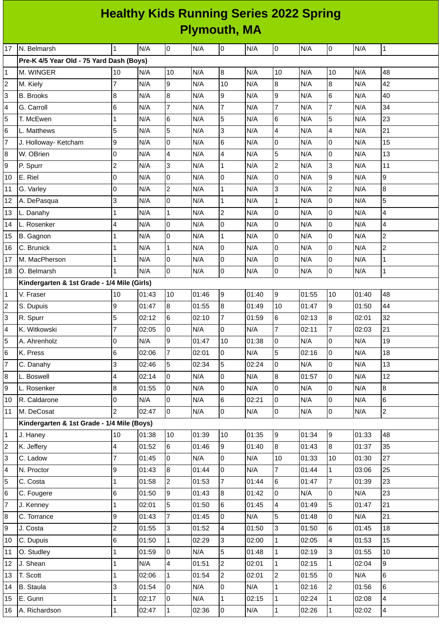|                |                                             |                         |       |                         |       |                | <b>Healthy Kids Running Series 2022 Spring</b> |                |       |                          |       |                |
|----------------|---------------------------------------------|-------------------------|-------|-------------------------|-------|----------------|------------------------------------------------|----------------|-------|--------------------------|-------|----------------|
|                | <b>Plymouth, MA</b>                         |                         |       |                         |       |                |                                                |                |       |                          |       |                |
| 17             | N. Belmarsh                                 | 1                       | N/A   | Iо                      | N/A   | O              | N/A                                            | l0             | N/A   | 0                        | N/A   | $\mathbf{1}$   |
|                | Pre-K 4/5 Year Old - 75 Yard Dash (Boys)    |                         |       |                         |       |                |                                                |                |       |                          |       |                |
| $\mathbf 1$    | M. WINGER                                   | 10                      | N/A   | 10                      | N/A   | 8              | N/A                                            | 10             | N/A   | 10                       | N/A   | 48             |
| $\mathbf 2$    | M. Kiely                                    | $\overline{7}$          | N/A   | 9                       | N/A   | 10             | N/A                                            | 8              | N/A   | 8                        | N/A   | 42             |
| 3              | <b>B.</b> Brooks                            | 8                       | N/A   | $\bf{8}$                | N/A   | 9              | N/A                                            | 9              | N/A   | $6\phantom{1}$           | N/A   | 40             |
| 4              | G. Carroll                                  | 6                       | N/A   | $\overline{7}$          | N/A   | 7              | N/A                                            | $\overline{7}$ | N/A   | $\overline{7}$           | N/A   | 34             |
| 5              | T. McEwen                                   | 1                       | N/A   | $\,$ 6                  | N/A   | 5              | N/A                                            | 6              | N/A   | 5                        | N/A   | 23             |
| 6              | L. Matthews                                 | 5                       | N/A   | 5                       | N/A   | 3              | N/A                                            | $\overline{4}$ | N/A   | 4                        | N/A   | 21             |
| 7              | J. Holloway- Ketcham                        | 9                       | N/A   | l0                      | N/A   | 6              | N/A                                            | 0              | N/A   | 0                        | N/A   | 15             |
| 8              | W. OBrien                                   | 0                       | N/A   | $\overline{\mathbf{4}}$ | N/A   | 4              | N/A                                            | 5              | N/A   | 0                        | N/A   | 13             |
| 9              | P. Spurr                                    | $\overline{c}$          | N/A   | 3                       | N/A   | $\mathbf 1$    | N/A                                            | $\overline{c}$ | N/A   | 3                        | N/A   | 11             |
| 10             | E. Riel                                     | 0                       | N/A   | $\mathbf 0$             | N/A   | 0              | N/A                                            | $\overline{0}$ | N/A   | 9                        | N/A   | 9              |
| 11             | G. Varley                                   | 0                       | N/A   | $\mathbf 2$             | N/A   | $\mathbf{1}$   | N/A                                            | 3              | N/A   | $\overline{c}$           | N/A   | $\bf{8}$       |
| 12             | A. DePasqua                                 | 3                       | N/A   | l0                      | N/A   | $\mathbf{1}$   | N/A                                            | $\mathbf{1}$   | N/A   | $\mathbf 0$              | N/A   | 5              |
| 13             | L. Danahy                                   | 1                       | N/A   | $\mathbf 1$             | N/A   | $\overline{c}$ | N/A                                            | $\overline{0}$ | N/A   | 0                        | N/A   | 4              |
| 14             | L. Rosenker                                 | $\overline{4}$          | N/A   | l0                      | N/A   | 0              | N/A                                            | $\overline{0}$ | N/A   | $\mathbf 0$              | N/A   | $\pmb{4}$      |
| 15             | B. Gagnon                                   | 1                       | N/A   | l0                      | N/A   | $\mathbf{1}$   | N/A                                            | 0              | N/A   | 0                        | N/A   | $\overline{c}$ |
| 16             | C. Brunick                                  | 1                       | N/A   | $\mathbf{1}$            | N/A   | 0              | N/A                                            | 0              | N/A   | 0                        | N/A   | $\overline{c}$ |
| 17             | M. MacPherson                               | 1                       | N/A   | l0                      | N/A   | 0              | N/A                                            | O              | N/A   | 0                        | N/A   | $\mathbf 1$    |
| 18             | O. Belmarsh                                 | 1                       | N/A   | lo                      | N/A   | 0              | N/A                                            | 0              | N/A   | 0                        | N/A   | $\mathbf{1}$   |
|                | Kindergarten & 1st Grade - 1/4 Mile (Girls) |                         |       |                         |       |                |                                                |                |       |                          |       |                |
| 1              | V. Fraser                                   | 10                      | 01:43 | 10                      | 01:46 | 9              | 01:40                                          | $\overline{9}$ | 01:55 | 10                       | 01:40 | 48             |
| $\overline{c}$ | S. Dupuis                                   | 9                       | 01:47 | $\bf 8$                 | 01:55 | 8              | 01:49                                          | 10             | 01:47 | 9                        | 01:50 | 44             |
| 3              | R. Spurr                                    | 5                       | 02:12 | $6\phantom{a}$          | 02:10 | $\overline{7}$ | 01:59                                          | $6\phantom{a}$ | 02:13 | 8                        | 02:01 | 32             |
| 4              | K. Witkowski                                | 7                       | 02:05 | Iо                      | N/A   | 0              | N/A                                            | $\overline{7}$ | 02:11 | $\overline{7}$           | 02:03 | 21             |
| 5              | A. Ahrenholz                                | 0                       | N/A   | $\boldsymbol{9}$        | 01:47 | 10             | 01:38                                          | $\overline{0}$ | N/A   | 0                        | N/A   | 19             |
| 6              | K. Press                                    | 6                       | 02:06 | 17                      | 02:01 | $\overline{0}$ | N/A                                            | 5              | 02:16 | $\overline{0}$           | N/A   | 18             |
| 7              | C. Danahy                                   | 3                       | 02:46 | 5                       | 02:34 | 5              | 02:24                                          | l0             | N/A   | $\overline{0}$           | N/A   | 13             |
| 8              | L. Boswell                                  | $\overline{4}$          | 02:14 | lo                      | N/A   | 0              | N/A                                            | $\overline{8}$ | 01:57 | $\overline{0}$           | N/A   | 12             |
| 9              | L. Rosenker                                 | 8                       | 01:55 | l0                      | N/A   | 0              | N/A                                            | l0             | N/A   | l0                       | N/A   | 8              |
| 10             | R. Caldarone                                | 0                       | N/A   | 0                       | N/A   | 6              | 02:21                                          | 0              | N/A   | $\overline{0}$           | N/A   | 6              |
| 11             | M. DeCosat                                  | $\overline{2}$          | 02:47 | lo.                     | N/A   | $\overline{0}$ | N/A                                            | $\overline{0}$ | N/A   | $\overline{0}$           | N/A   | $\overline{2}$ |
|                | Kindergarten & 1st Grade - 1/4 Mile (Boys)  |                         |       |                         |       |                |                                                |                |       |                          |       |                |
| $\mathbf{1}$   | J. Haney                                    | 10                      | 01:38 | 10                      | 01:39 | 10             | 01:35                                          | 9              | 01:34 | 9                        | 01:33 | 48             |
| 2              | K. Jeffery                                  | $\overline{\mathbf{4}}$ | 01:52 | $6\overline{6}$         | 01:46 | 9              | 01:40                                          | 8              | 01:43 | $\overline{8}$           | 01:37 | 35             |
| 3              | C. Ladow                                    | $\overline{7}$          | 01:45 | 0                       | N/A   | $\overline{0}$ | N/A                                            | 10             | 01:33 | 10                       | 01:30 | 27             |
| 4              | N. Proctor                                  | 9                       | 01:43 | 8                       | 01:44 | 0              | N/A                                            | $\overline{7}$ | 01:44 | $\mathbf{1}$             | 03:06 | 25             |
| 5              | C. Costa                                    | 1                       | 01:58 | $\overline{c}$          | 01:53 | $\overline{7}$ | 01:44                                          | 6              | 01:47 | $\overline{7}$           | 01:39 | 23             |
| 6              | C. Fougere                                  | 6                       | 01:50 | 9                       | 01:43 | 8              | 01:42                                          | $\overline{0}$ | N/A   | 0                        | N/A   | 23             |
| 7              | J. Kenney                                   | $\mathbf 1$             | 02:01 | 5                       | 01:50 | 6              | 01:45                                          | $\overline{4}$ | 01:49 | 5                        | 01:47 | 21             |
| 8              | C. Torrance                                 | 9                       | 01:43 | $\overline{7}$          | 01:45 | 0              | N/A                                            | 5              | 01:48 | $\overline{0}$           | N/A   | 21             |
| 9              | J. Costa                                    | $\overline{c}$          | 01:55 | $\overline{3}$          | 01:52 | 4              | 01:50                                          | 3              | 01:50 | 6                        | 01:45 | 18             |
| 10             | C. Dupuis                                   | 6                       | 01:50 | $\overline{1}$          | 02:29 | 3              | 02:00                                          | $\mathbf{1}$   | 02:05 | $\overline{\mathcal{L}}$ | 01:53 | 15             |
| 11             | O. Studley                                  | 1                       | 01:59 | 0                       | N/A   | 5              | 01:48                                          | $\mathbf{1}$   | 02:19 | $\overline{3}$           | 01:55 | 10             |
| 12             | J. Shean                                    | $\mathbf{1}$            | N/A   | $\overline{\mathbf{4}}$ | 01:51 | $\overline{c}$ | 02:01                                          | $\mathbf 1$    | 02:15 | $\mathbf 1$              | 02:04 | 9              |
| 13             | T. Scott                                    | 1                       | 02:06 | $\overline{1}$          | 01:54 | $\overline{c}$ | 02:01                                          | $\overline{c}$ | 01:55 | $\overline{0}$           | N/A   | $6\phantom{a}$ |
| 14             | <b>B.</b> Staula                            | 3                       | 01:54 | 0                       | N/A   | 0              | N/A                                            | $\mathbf{1}$   | 02:16 | $\overline{2}$           | 01:56 | 6              |
| 15             | E. Gunn                                     | $\mathbf 1$             | 02:17 | lo                      | N/A   | $\mathbf{1}$   | 02:15                                          | $\mathbf{1}$   | 02:24 | $\mathbf{1}$             | 02:08 | $\overline{4}$ |
| 16             | A. Richardson                               | $\mathbf 1$             | 02:47 | $\vert$ 1               | 02:36 | $\overline{0}$ | N/A                                            | $\mathbf 1$    | 02:26 | $\mathbf 1$              | 02:02 | $\overline{4}$ |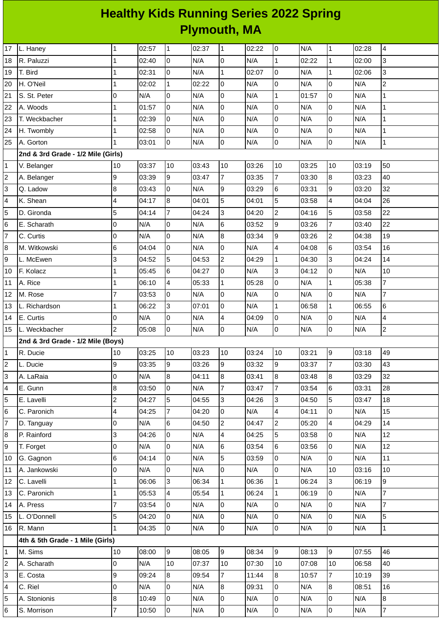## **Healthy Kids Running Series 2022 Spring Plymouth, MA**

| 17             | L. Haney                           | 1              | 02:57 | $\vert$ 1      | 02:37 | $\mathbf{1}$   | 02:22 | 0                   | N/A   | $\mathbf 1$    | 02:28 | 4                       |
|----------------|------------------------------------|----------------|-------|----------------|-------|----------------|-------|---------------------|-------|----------------|-------|-------------------------|
| 18             | R. Paluzzi                         | $\mathbf 1$    | 02:40 | $\overline{0}$ | N/A   | O              | N/A   | $\mathbf{1}$        | 02:22 | $\mathbf 1$    | 02:00 | 3                       |
| 19             | T. Bird                            | 1              | 02:31 | $\overline{0}$ | N/A   | $\overline{1}$ | 02:07 | 0                   | N/A   | $\mathbf{1}$   | 02:06 | 3                       |
| 20             | H. O'Neil                          | 1              | 02:02 | $\mathbf{1}$   | 02:22 | $\overline{0}$ | N/A   | 0                   | N/A   | 0              | N/A   | $\overline{c}$          |
| 21             | S. St. Peter                       | $\overline{0}$ | N/A   | $\overline{0}$ | N/A   | O              | N/A   | $\mathbf 1$         | 01:57 | 0              | N/A   | $\mathbf{1}$            |
| 22             | A. Woods                           | 1              | 01:57 | $\overline{0}$ | N/A   | $\overline{0}$ | N/A   | 0                   | N/A   | 0              | N/A   | $\mathbf 1$             |
| 23             | T. Weckbacher                      | 1              | 02:39 | $\overline{0}$ | N/A   | $\overline{0}$ | N/A   | 0                   | N/A   | 0              | N/A   | $\mathbf{1}$            |
| 24             | H. Twombly                         | 1              | 02:58 | $\overline{0}$ | N/A   | $\mathbf 0$    | N/A   | 0                   | N/A   | 0              | N/A   | $\mathbf{1}$            |
| 25             | A. Gorton                          | 1              | 03:01 | $\overline{0}$ | N/A   | $\overline{0}$ | N/A   | 0                   | N/A   | 0              | N/A   | $\mathbf 1$             |
|                | 2nd & 3rd Grade - 1/2 Mile (Girls) |                |       |                |       |                |       |                     |       |                |       |                         |
| $\mathbf{1}$   | V. Belanger                        | 10             | 03:37 | 10             | 03:43 | 10             | 03:26 | 10                  | 03:25 | 10             | 03:19 | 50                      |
| $\overline{c}$ | A. Belanger                        | 9              | 03:39 | 9              | 03:47 | $\overline{7}$ | 03:35 | $\overline{7}$      | 03:30 | 8              | 03:23 | 40                      |
| 3              | Q. Ladow                           | 8              | 03:43 | $\overline{0}$ | N/A   | 9              | 03:29 | 6                   | 03:31 | 9              | 03:20 | 32                      |
| 4              | K. Shean                           | 4              | 04:17 | $\, 8$         | 04:01 | 5              | 04:01 | 5                   | 03:58 | 4              | 04:04 | 26                      |
| 5              | D. Gironda                         | 5              | 04:14 | $\overline{7}$ | 04:24 | 3              | 04:20 | $\overline{c}$      | 04:16 | 5              | 03:58 | 22                      |
| 6              | E. Scharath                        | 0              | N/A   | $\overline{0}$ | N/A   | $\,6$          | 03:52 | 9                   | 03:26 | $\overline{7}$ | 03:40 | 22                      |
| $\overline{7}$ | C. Curtis                          | 0              | N/A   | $\overline{0}$ | N/A   | $\bf 8$        | 03:34 | 9                   | 03:26 | $\overline{c}$ | 04:38 | 19                      |
| 8              | M. Witkowski                       | $\,$ 6         | 04:04 | $\overline{0}$ | N/A   | $\overline{0}$ | N/A   | 4                   | 04:08 | 6              | 03:54 | 16                      |
| 9              | L. McEwen                          | 3              | 04:52 | 5              | 04:53 | $\overline{c}$ | 04:29 | $\mathbf 1$         | 04:30 | 3              | 04:24 | 14                      |
| 10             | F. Kolacz                          | 1              | 05:45 | $6\phantom{a}$ | 04:27 | $\overline{0}$ | N/A   | 3                   | 04:12 | 0              | N/A   | 10                      |
| 11             | A. Rice                            | 1              | 06:10 | $\overline{4}$ | 05:33 | $\overline{1}$ | 05:28 | 0                   | N/A   | $\mathbf 1$    | 05:38 | $\overline{7}$          |
| 12             | M. Rose                            | 7              | 03:53 | $\overline{0}$ | N/A   | 0              | N/A   | 0                   | N/A   | 0              | N/A   | $\overline{7}$          |
| 13             | L. Richardson                      | 1              | 06:22 | 3              | 07:01 | O              | N/A   | $\mathbf{1}$        | 06:58 | $\mathbf 1$    | 06:55 | $\,6$                   |
| 14             | E. Curtis                          | $\overline{0}$ | N/A   | $\overline{0}$ | N/A   | 4              | 04:09 | 0                   | N/A   | 0              | N/A   | $\overline{\mathbf{4}}$ |
| 15             | L. Weckbacher                      | $\overline{c}$ | 05:08 | $\overline{0}$ | N/A   | $\overline{0}$ | N/A   | 0                   | N/A   | 0              | N/A   | $\overline{c}$          |
|                | 2nd & 3rd Grade - 1/2 Mile (Boys)  |                |       |                |       |                |       |                     |       |                |       |                         |
| $\mathbf{1}$   | R. Ducie                           | 10             | 03:25 | 10             | 03:23 | 10             | 03:24 | 10                  | 03:21 | 9              | 03:18 | 49                      |
| $\overline{2}$ | L. Ducie                           | 9              | 03:35 | g              | 03:26 | g              | 03:32 | 9                   | 03:37 | $\overline{7}$ | 03:30 | 43                      |
| 3              | A. LaRaia                          | $\overline{0}$ | N/A   | 8              | 04:11 | $\overline{8}$ | 03:41 | $\overline{8}$      | 03:48 | 8              | 03:29 | 32                      |
| 4              | E. Gunn                            | $\bf{8}$       | 03:50 | $\overline{0}$ | N/A   | 7              | 03:47 | $\overline{7}$      | 03:54 | 6              | 03:31 | 28                      |
| 5              | E. Lavelli                         | $\overline{c}$ | 04:27 | 5              | 04:55 | 3              | 04:26 | 3                   | 04:50 | 5              | 03:47 | 18                      |
| 6              | C. Paronich                        | 4              | 04:25 | $\overline{7}$ | 04:20 | $\overline{0}$ | N/A   | 4                   | 04:11 | 0              | N/A   | 15                      |
| $\overline{7}$ | D. Tanguay                         | $\mathsf 0$    | N/A   | $6\phantom{.}$ | 04:50 | $\overline{c}$ | 04:47 | $\overline{c}$      | 05:20 | 4              | 04:29 | 14                      |
| 8              | P. Rainford                        | 3              | 04:26 | $\overline{0}$ | N/A   | 4              | 04:25 | 5                   | 03:58 | 0              | N/A   | 12                      |
| 9              | T. Forget                          | 0              | N/A   | $\overline{0}$ | N/A   | $6\phantom{.}$ | 03:54 | 6                   | 03:56 | 0              | N/A   | 12                      |
| 10             | G. Gagnon                          | $6\phantom{a}$ | 04:14 | $\overline{0}$ | N/A   | 5              | 03:59 | 0                   | N/A   | 0              | N/A   | 11                      |
| 11             | A. Jankowski                       | $\overline{0}$ | N/A   | $\overline{0}$ | N/A   | $\overline{0}$ | N/A   | 0                   | N/A   | 10             | 03:16 | 10                      |
| 12             | C. Lavelli                         | $\mathbf{1}$   | 06:06 | $\overline{3}$ | 06:34 | $\mathbf{1}$   | 06:36 | $\mathbf{1}$        | 06:24 | 3              | 06:19 | 9                       |
| 13             | C. Paronich                        | $\mathbf{1}$   | 05:53 | $\overline{4}$ | 05:54 | $\mathbf{1}$   | 06:24 | $\mathbf{1}$        | 06:19 | 0              | N/A   | $\overline{7}$          |
| 14             | A. Press                           | 7              | 03:54 | $\overline{0}$ | N/A   | $\overline{0}$ | N/A   | 0                   | N/A   | 0              | N/A   | $\overline{7}$          |
| 15             | L. O'Donnell                       | 5              | 04:20 | $\overline{0}$ | N/A   | 0              | N/A   | 0                   | N/A   | 0              | N/A   | 5                       |
| 16             | R. Mann                            | $\mathbf{1}$   | 04:35 | $\overline{0}$ | N/A   | $\overline{0}$ | N/A   | $\pmb{0}$           | N/A   | 0              | N/A   | $\mathbf{1}$            |
|                | 4th & 5th Grade - 1 Mile (Girls)   |                |       |                |       |                |       |                     |       |                |       |                         |
| $\mathbf{1}$   | M. Sims                            | 10             | 08:00 | 9              | 08:05 | 9              | 08:34 | 9                   | 08:13 | 9              | 07:55 | 46                      |
| 2              | A. Scharath                        | $\overline{0}$ | N/A   | 10             | 07:37 | 10             | 07:30 | 10                  | 07:08 | 10             | 06:58 | 40                      |
| 3              | E. Costa                           | 9              | 09:24 | $8\,$          | 09:54 | 7              | 11:44 | 8                   | 10:57 | $\overline{7}$ | 10:19 | 39                      |
| 4              | C. Riel                            | $\overline{0}$ | N/A   | $\overline{0}$ | N/A   | 8              | 09:31 | 0                   | N/A   | 8              | 08:51 | 16                      |
| 5              | A. Stonionis                       | $\, 8$         | 10:49 | $\overline{0}$ | N/A   | $\overline{0}$ | N/A   | 0                   | N/A   | 0              | N/A   | $\bf{8}$                |
| 6              | S. Morrison                        | 7              | 10:50 | 0              | N/A   | $\overline{0}$ | N/A   | $\mathsf{O}\xspace$ | N/A   | $\overline{0}$ | N/A   | $\overline{7}$          |